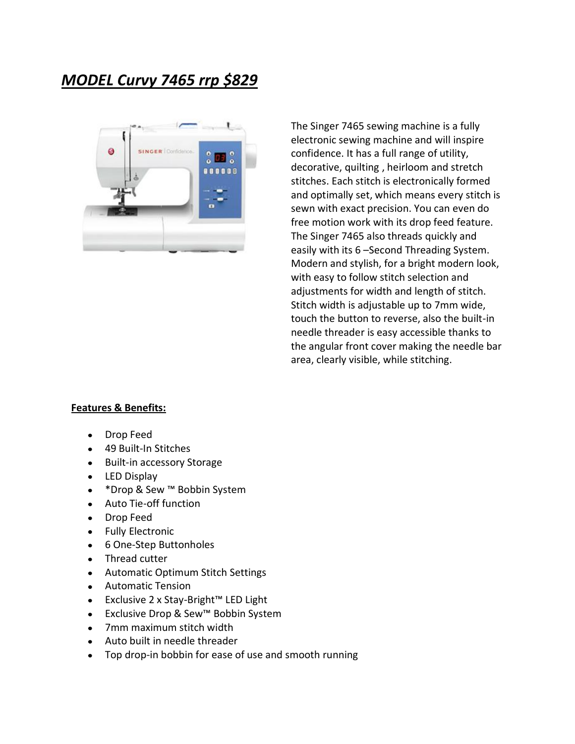## *MODEL Curvy 7465 rrp \$829*



The Singer 7465 sewing machine is a fully electronic sewing machine and will inspire confidence. It has a full range of utility, decorative, quilting , heirloom and stretch stitches. Each stitch is electronically formed and optimally set, which means every stitch is sewn with exact precision. You can even do free motion work with its drop feed feature. The Singer 7465 also threads quickly and easily with its 6 –Second Threading System. Modern and stylish, for a bright modern look, with easy to follow stitch selection and adjustments for width and length of stitch. Stitch width is adjustable up to 7mm wide, touch the button to reverse, also the built-in needle threader is easy accessible thanks to the angular front cover making the needle bar area, clearly visible, while stitching.

## **Features & Benefits:**

- Drop Feed  $\bullet$
- 49 Built-In Stitches  $\bullet$
- Built-in accessory Storage  $\bullet$
- LED Display  $\bullet$
- \*Drop & Sew ™ Bobbin System  $\bullet$
- $\bullet$ Auto Tie-off function
- Drop Feed  $\bullet$
- $\bullet$ Fully Electronic
- 6 One-Step Buttonholes  $\bullet$
- Thread cutter  $\bullet$
- Automatic Optimum Stitch Settings  $\bullet$
- Automatic Tension  $\bullet$
- Exclusive 2 x Stay-Bright™ LED Light  $\bullet$
- Exclusive Drop & Sew™ Bobbin System  $\bullet$
- 7mm maximum stitch width  $\bullet$
- Auto built in needle threader  $\bullet$
- Top drop-in bobbin for ease of use and smooth running $\bullet$